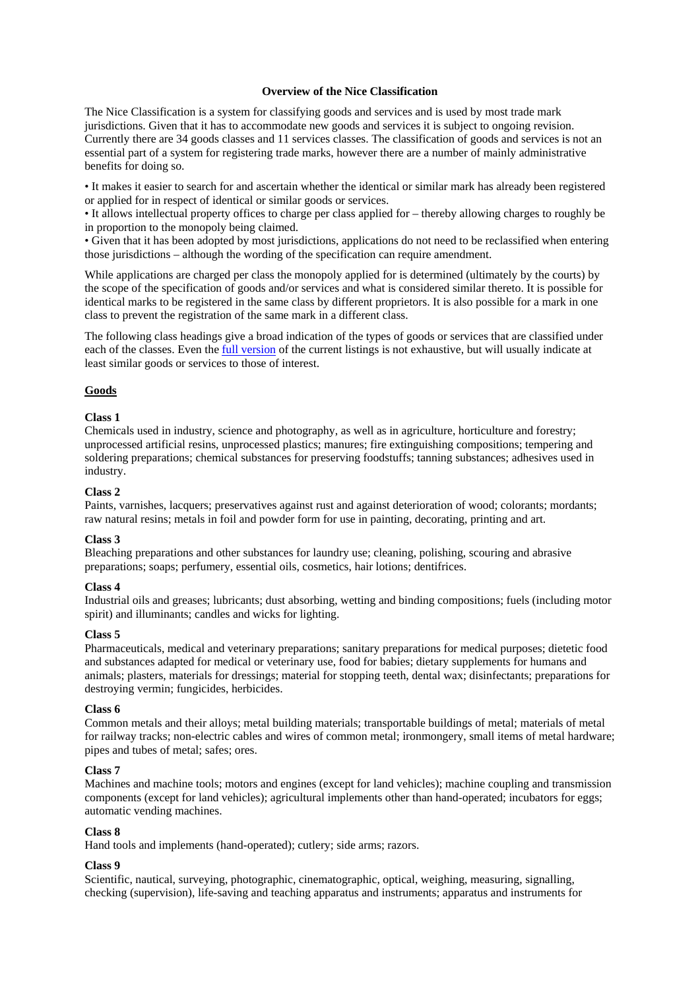### **Overview of the Nice Classification**

The Nice Classification is a system for classifying goods and services and is used by most trade mark jurisdictions. Given that it has to accommodate new goods and services it is subject to ongoing revision. Currently there are 34 goods classes and 11 services classes. The classification of goods and services is not an essential part of a system for registering trade marks, however there are a number of mainly administrative benefits for doing so.

• It makes it easier to search for and ascertain whether the identical or similar mark has already been registered or applied for in respect of identical or similar goods or services.

• It allows intellectual property offices to charge per class applied for – thereby allowing charges to roughly be in proportion to the monopoly being claimed.

• Given that it has been adopted by most jurisdictions, applications do not need to be reclassified when entering those jurisdictions – although the wording of the specification can require amendment.

While applications are charged per class the monopoly applied for is determined (ultimately by the courts) by the scope of the specification of goods and/or services and what is considered similar thereto. It is possible for identical marks to be registered in the same class by different proprietors. It is also possible for a mark in one class to prevent the registration of the same mark in a different class.

The following class headings give a broad indication of the types of goods or services that are classified under each of the classes. Even the full version of the current listings is not exhaustive, but will usually indicate at least similar goods or services to those of interest.

### **Goods**

### **Class 1**

Chemicals used in industry, science and photography, as well as in agriculture, horticulture and forestry; unprocessed artificial resins, unprocessed plastics; manures; fire extinguishing compositions; tempering and soldering preparations; chemical substances for preserving foodstuffs; tanning substances; adhesives used in industry.

### **Class 2**

Paints, varnishes, lacquers; preservatives against rust and against deterioration of wood; colorants; mordants; raw natural resins; metals in foil and powder form for use in painting, decorating, printing and art.

### **Class 3**

Bleaching preparations and other substances for laundry use; cleaning, polishing, scouring and abrasive preparations; soaps; perfumery, essential oils, cosmetics, hair lotions; dentifrices.

### **Class 4**

Industrial oils and greases; lubricants; dust absorbing, wetting and binding compositions; fuels (including motor spirit) and illuminants; candles and wicks for lighting.

### **Class 5**

Pharmaceuticals, medical and veterinary preparations; sanitary preparations for medical purposes; dietetic food and substances adapted for medical or veterinary use, food for babies; dietary supplements for humans and animals; plasters, materials for dressings; material for stopping teeth, dental wax; disinfectants; preparations for destroying vermin; fungicides, herbicides.

### **Class 6**

Common metals and their alloys; metal building materials; transportable buildings of metal; materials of metal for railway tracks; non-electric cables and wires of common metal; ironmongery, small items of metal hardware; pipes and tubes of metal; safes; ores.

### **Class 7**

Machines and machine tools; motors and engines (except for land vehicles); machine coupling and transmission components (except for land vehicles); agricultural implements other than hand-operated; incubators for eggs; automatic vending machines.

# **Class 8**

Hand tools and implements (hand-operated); cutlery; side arms; razors.

### **Class 9**

Scientific, nautical, surveying, photographic, cinematographic, optical, weighing, measuring, signalling, checking (supervision), life-saving and teaching apparatus and instruments; apparatus and instruments for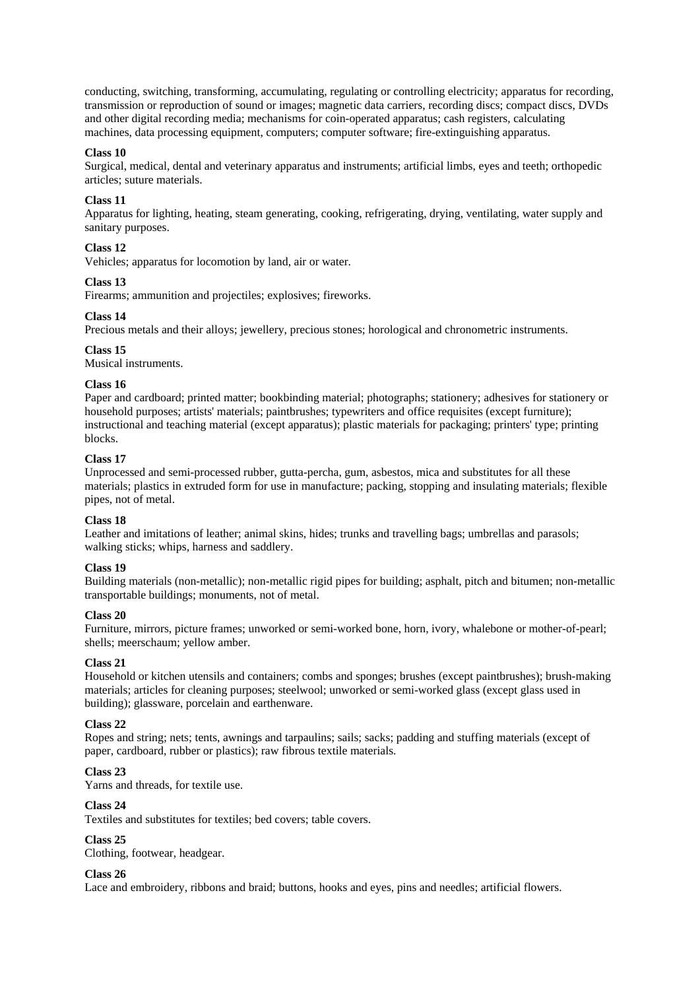conducting, switching, transforming, accumulating, regulating or controlling electricity; apparatus for recording, transmission or reproduction of sound or images; magnetic data carriers, recording discs; compact discs, DVDs and other digital recording media; mechanisms for coin-operated apparatus; cash registers, calculating machines, data processing equipment, computers; computer software; fire-extinguishing apparatus.

### **Class 10**

Surgical, medical, dental and veterinary apparatus and instruments; artificial limbs, eyes and teeth; orthopedic articles; suture materials.

### **Class 11**

Apparatus for lighting, heating, steam generating, cooking, refrigerating, drying, ventilating, water supply and sanitary purposes.

# **Class 12**

Vehicles; apparatus for locomotion by land, air or water.

### **Class 13**

Firearms; ammunition and projectiles; explosives; fireworks.

### **Class 14**

Precious metals and their alloys; jewellery, precious stones; horological and chronometric instruments.

### **Class 15**

Musical instruments.

### **Class 16**

Paper and cardboard; printed matter; bookbinding material; photographs; stationery; adhesives for stationery or household purposes; artists' materials; paintbrushes; typewriters and office requisites (except furniture); instructional and teaching material (except apparatus); plastic materials for packaging; printers' type; printing blocks.

# **Class 17**

Unprocessed and semi-processed rubber, gutta-percha, gum, asbestos, mica and substitutes for all these materials; plastics in extruded form for use in manufacture; packing, stopping and insulating materials; flexible pipes, not of metal.

### **Class 18**

Leather and imitations of leather; animal skins, hides; trunks and travelling bags; umbrellas and parasols; walking sticks; whips, harness and saddlery.

### **Class 19**

Building materials (non-metallic); non-metallic rigid pipes for building; asphalt, pitch and bitumen; non-metallic transportable buildings; monuments, not of metal.

### **Class 20**

Furniture, mirrors, picture frames; unworked or semi-worked bone, horn, ivory, whalebone or mother-of-pearl; shells; meerschaum; yellow amber.

### **Class 21**

Household or kitchen utensils and containers; combs and sponges; brushes (except paintbrushes); brush-making materials; articles for cleaning purposes; steelwool; unworked or semi-worked glass (except glass used in building); glassware, porcelain and earthenware.

### **Class 22**

Ropes and string; nets; tents, awnings and tarpaulins; sails; sacks; padding and stuffing materials (except of paper, cardboard, rubber or plastics); raw fibrous textile materials.

### **Class 23**

Yarns and threads, for textile use.

### **Class 24**

Textiles and substitutes for textiles; bed covers; table covers.

# **Class 25**

Clothing, footwear, headgear.

### **Class 26**

Lace and embroidery, ribbons and braid; buttons, hooks and eyes, pins and needles; artificial flowers.